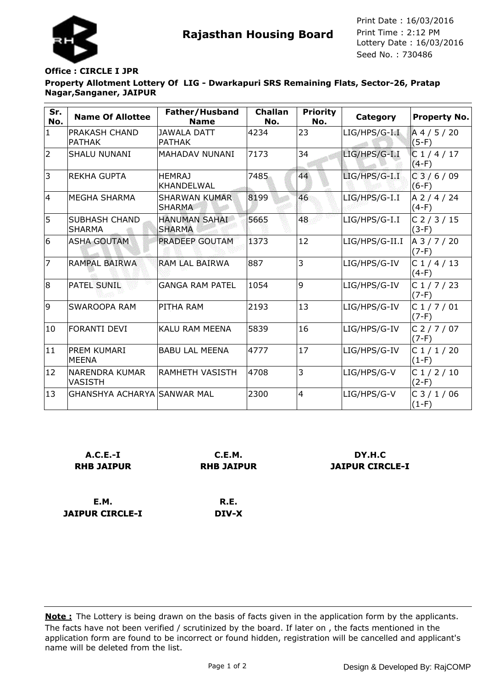



Seed No. : 730486 Print Date : 16/03/2016 Print Time : 2:12 PM

## **Office : CIRCLE I JPR**

**JAIPUR CIRCLE-I**

**Property Allotment Lottery Of LIG - Dwarkapuri SRS Remaining Flats, Sector-26, Pratap Nagar,Sanganer, JAIPUR**

| Sr.<br>No.     | <b>Name Of Allottee</b>                 | Father/Husband<br><b>Name</b>         | <b>Challan</b><br>No. | <b>Priority</b><br>No. | Category         | <b>Property No.</b>             |
|----------------|-----------------------------------------|---------------------------------------|-----------------------|------------------------|------------------|---------------------------------|
| $\mathbf{1}$   | PRAKASH CHAND<br><b>PATHAK</b>          | <b>JAWALA DATT</b><br><b>PATHAK</b>   | 4234                  | 23                     | $LIG/HPS/G-I.I.$ | A 4 / 5 / 20<br>$(5-F)$         |
| $\overline{2}$ | <b>SHALU NUNANI</b>                     | <b>MAHADAV NUNANI</b>                 | 7173                  | 34                     | LIG/HPS/G-I.I    | C1/4/17<br>$(4-F)$              |
| 3              | <b>REKHA GUPTA</b>                      | <b>HEMRAJ</b><br><b>KHANDELWAL</b>    | 7485                  | 44                     | $LIG/HPS/G-I.I$  | C3/6/09<br>$(6-F)$              |
| 14             | <b>MEGHA SHARMA</b>                     | <b>SHARWAN KUMAR</b><br><b>SHARMA</b> | 8199                  | 46                     | $LIG/HPS/G-I.I$  | A 2 / 4 / 24<br>$(4-F)$         |
| 5              | <b>SUBHASH CHAND</b><br><b>SHARMA</b>   | HANUMAN SAHAI<br><b>SHARMA</b>        | 5665                  | 48                     | LIG/HPS/G-I.I    | C <sub>2</sub> /3/15<br>$(3-F)$ |
| 6              | <b>ASHA GOUTAM</b>                      | PRADEEP GOUTAM                        | 1373                  | 12                     | LIG/HPS/G-II.I   | A 3 / 7 / 20<br>$(7-F)$         |
| $\overline{7}$ | RAMPAL BAIRWA                           | RAM LAL BAIRWA                        | 887                   | 3                      | LIG/HPS/G-IV     | C1/4/13<br>$(4-F)$              |
| 8              | <b>PATEL SUNIL</b>                      | <b>GANGA RAM PATEL</b>                | 1054                  | 9                      | LIG/HPS/G-IV     | C1/7/23<br>$(7-F)$              |
| 9              | SWAROOPA RAM                            | PITHA RAM                             | 2193                  | 13                     | LIG/HPS/G-IV     | C1/7/01<br>$(7-F)$              |
| 10             | <b>FORANTI DEVI</b>                     | KALU RAM MEENA                        | 5839                  | 16                     | LIG/HPS/G-IV     | C <sub>2</sub> /7/07<br>$(7-F)$ |
| 11             | <b>PREM KUMARI</b><br><b>MEENA</b>      | <b>BABU LAL MEENA</b>                 | 4777                  | 17                     | LIG/HPS/G-IV     | C1/1/20<br>$(1-F)$              |
| 12             | <b>NARENDRA KUMAR</b><br><b>VASISTH</b> | <b>RAMHETH VASISTH</b>                | 4708                  | 3                      | LIG/HPS/G-V      | C1/2/10<br>$(2-F)$              |
| 13             | GHANSHYA ACHARYA SANWAR MAL             |                                       | 2300                  | $\overline{4}$         | LIG/HPS/G-V      | C <sub>3</sub> /1/06<br>$(1-F)$ |

| $A.C.E.-I$        | C.E.M.            | DY H.C                 |  |
|-------------------|-------------------|------------------------|--|
| <b>RHB JAIPUR</b> | <b>RHB JAIPUR</b> | <b>JAIPUR CIRCLE-I</b> |  |
| E.M.              | R.E.              |                        |  |

**DIV-X**

The facts have not been verified / scrutinized by the board. If later on , the facts mentioned in the application form are found to be incorrect or found hidden, registration will be cancelled and applicant's name will be deleted from the list. **Note :** The Lottery is being drawn on the basis of facts given in the application form by the applicants.